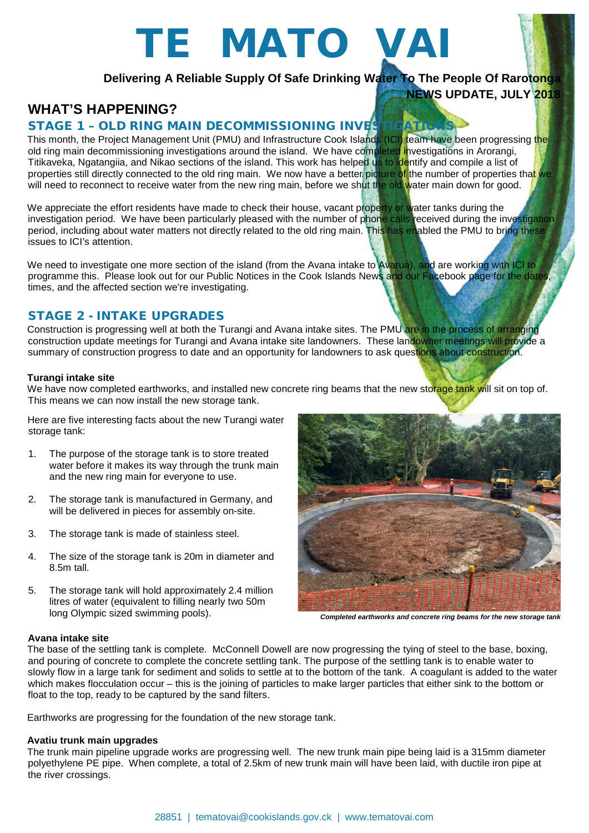# TE MATO VAI

# **Delivering A Reliable Supply Of Safe Drinking Water To The People Of Rarotonga NEWS UPDATE, JULY 2018**

# **WHAT'S HAPPENING?**

### STAGE 1 - OLD RING MAIN DECOMMISSIONING INVESTI

This month, the Project Management Unit (PMU) and Infrastructure Cook Islands (ICI) team have been progressing the old ring main decommissioning investigations around the island. We have completed investigations in Arorangi, Titikaveka, Ngatangiia, and Nikao sections of the island. This work has helped us to identify and compile a list of properties still directly connected to the old ring main. We now have a better picture of the number of properties that we will need to reconnect to receive water from the new ring main, before we shut the old water main down for good.

We appreciate the effort residents have made to check their house, vacant property or water tanks during the investigation period. We have been particularly pleased with the number of phone calls received during the investigation period, including about water matters not directly related to the old ring main. This has enabled the PMU to bring these issues to ICI's attention.

We need to investigate one more section of the island (from the Avana intake to Avarua), and are working with ICI to programme this. Please look out for our Public Notices in the Cook Islands News and our Facebook page for the dates, times, and the affected section we're investigating.

## STAGE 2 - INTAKE UPGRADES

Construction is progressing well at both the Turangi and Avana intake sites. The PMU are in the process of arranging construction update meetings for Turangi and Avana intake site landowners. These landowner meetings will provide a summary of construction progress to date and an opportunity for landowners to ask questions about construction.

#### **Turangi intake site**

We have now completed earthworks, and installed new concrete ring beams that the new storage tank will sit on top of. This means we can now install the new storage tank.

Here are five interesting facts about the new Turangi water storage tank:

- 1. The purpose of the storage tank is to store treated water before it makes its way through the trunk main and the new ring main for everyone to use.
- 2. The storage tank is manufactured in Germany, and will be delivered in pieces for assembly on-site.
- 3. The storage tank is made of stainless steel.
- 4. The size of the storage tank is 20m in diameter and 8.5m tall.
- 5. The storage tank will hold approximately 2.4 million litres of water (equivalent to filling nearly two 50m long Olympic sized swimming pools).



*Completed earthworks and concrete ring beams for the new storage tank*

#### **Avana intake site**

The base of the settling tank is complete. McConnell Dowell are now progressing the tying of steel to the base, boxing, and pouring of concrete to complete the concrete settling tank. The purpose of the settling tank is to enable water to slowly flow in a large tank for sediment and solids to settle at to the bottom of the tank. A coagulant is added to the water which makes flocculation occur – this is the joining of particles to make larger particles that either sink to the bottom or float to the top, ready to be captured by the sand filters.

Earthworks are progressing for the foundation of the new storage tank.

#### **Avatiu trunk main upgrades**

The trunk main pipeline upgrade works are progressing well. The new trunk main pipe being laid is a 315mm diameter polyethylene PE pipe. When complete, a total of 2.5km of new trunk main will have been laid, with ductile iron pipe at the river crossings.